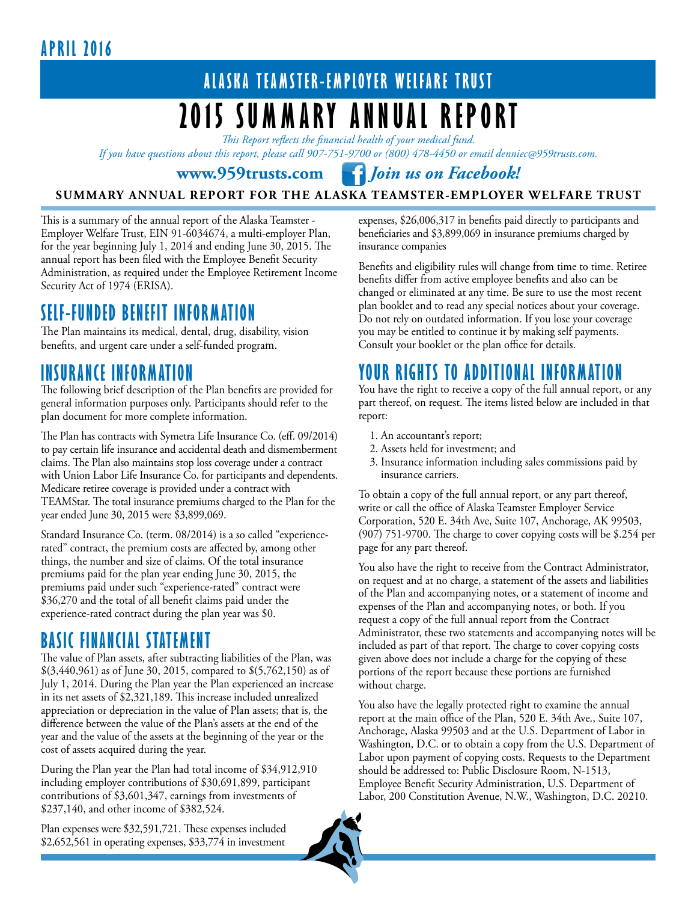## **Apri l 2016**

## **ALASKA TEAMSTER-EMPLOYER WELFARE TRUST 2015 Summary Annual Report**

*This Report reflects the financial health of your medical fund.* 

*If you have questions about this report, please call 907-751-9700 or (800) 478-4450 or email denniec@959trusts.com.* 

**www.959trusts.com** *Join us on Facebook!*

#### **SUMMARY ANNUAL REPORT FOR THE ALASKA TEAMSTER-EMPLOYER WELFARE TRUST**

This is a summary of the annual report of the Alaska Teamster - Employer Welfare Trust, EIN 91-6034674, a multi-employer Plan, for the year beginning July 1, 2014 and ending June 30, 2015. The annual report has been filed with the Employee Benefit Security Administration, as required under the Employee Retirement Income Security Act of 1974 (ERISA).

## **SELF-FUNDED BENEFIT INFORMATION**

The Plan maintains its medical, dental, drug, disability, vision benefits, and urgent care under a self-funded program.

## **INSURANCE INFORMATION**

The following brief description of the Plan benefits are provided for general information purposes only. Participants should refer to the plan document for more complete information.

The Plan has contracts with Symetra Life Insurance Co. (eff. 09/2014) to pay certain life insurance and accidental death and dismemberment claims. The Plan also maintains stop loss coverage under a contract with Union Labor Life Insurance Co. for participants and dependents. Medicare retiree coverage is provided under a contract with TEAMStar. The total insurance premiums charged to the Plan for the year ended June 30, 2015 were \$3,899,069.

Standard Insurance Co. (term. 08/2014) is a so called "experiencerated" contract, the premium costs are affected by, among other things, the number and size of claims. Of the total insurance premiums paid for the plan year ending June 30, 2015, the premiums paid under such "experience-rated" contract were \$36,270 and the total of all benefit claims paid under the experience-rated contract during the plan year was \$0.

## **BASIC FINANCIAL STATEMENT**

The value of Plan assets, after subtracting liabilities of the Plan, was \$(3,440,961) as of June 30, 2015, compared to \$(5,762,150) as of July 1, 2014. During the Plan year the Plan experienced an increase in its net assets of \$2,321,189. This increase included unrealized appreciation or depreciation in the value of Plan assets; that is, the difference between the value of the Plan's assets at the end of the year and the value of the assets at the beginning of the year or the cost of assets acquired during the year.

During the Plan year the Plan had total income of \$34,912,910 including employer contributions of \$30,691,899, participant contributions of \$3,601,347, earnings from investments of \$237,140, and other income of \$382,524.

Plan expenses were \$32,591,721. These expenses included \$2,652,561 in operating expenses, \$33,774 in investment expenses, \$26,006,317 in benefits paid directly to participants and beneficiaries and \$3,899,069 in insurance premiums charged by insurance companies

Benefits and eligibility rules will change from time to time. Retiree benefits differ from active employee benefits and also can be changed or eliminated at any time. Be sure to use the most recent plan booklet and to read any special notices about your coverage. Do not rely on outdated information. If you lose your coverage you may be entitled to continue it by making self payments. Consult your booklet or the plan office for details.

## **YOUR RIGHTS TO ADDITIONAL INFORMATION**

You have the right to receive a copy of the full annual report, or any part thereof, on request. The items listed below are included in that report:

- 1. An accountant's report;
- 2. Assets held for investment; and
- 3. Insurance information including sales commissions paid by insurance carriers.

To obtain a copy of the full annual report, or any part thereof, write or call the office of Alaska Teamster Employer Service Corporation, 520 E. 34th Ave, Suite 107, Anchorage, AK 99503, (907) 751-9700. The charge to cover copying costs will be \$.254 per page for any part thereof.

You also have the right to receive from the Contract Administrator, on request and at no charge, a statement of the assets and liabilities of the Plan and accompanying notes, or a statement of income and expenses of the Plan and accompanying notes, or both. If you request a copy of the full annual report from the Contract Administrator, these two statements and accompanying notes will be included as part of that report. The charge to cover copying costs given above does not include a charge for the copying of these portions of the report because these portions are furnished without charge.

You also have the legally protected right to examine the annual report at the main office of the Plan, 520 E. 34th Ave., Suite 107, Anchorage, Alaska 99503 and at the U.S. Department of Labor in Washington, D.C. or to obtain a copy from the U.S. Department of Labor upon payment of copying costs. Requests to the Department should be addressed to: Public Disclosure Room, N-1513, Employee Benefit Security Administration, U.S. Department of Labor, 200 Constitution Avenue, N.W., Washington, D.C. 20210.